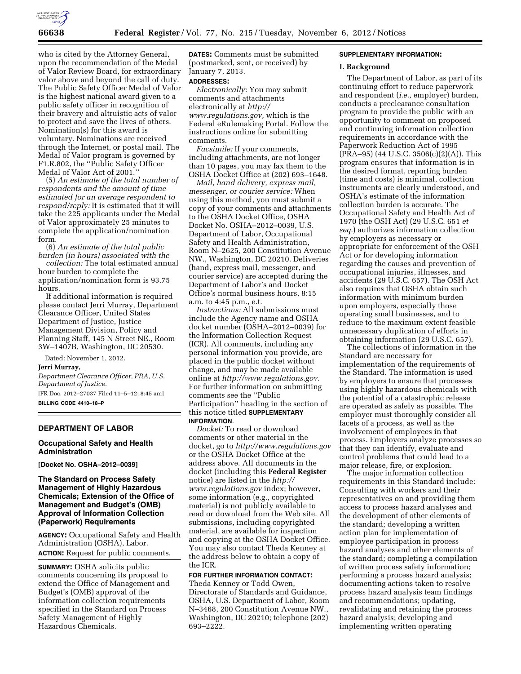

who is cited by the Attorney General, upon the recommendation of the Medal of Valor Review Board, for extraordinary valor above and beyond the call of duty. The Public Safety Officer Medal of Valor is the highest national award given to a public safety officer in recognition of their bravery and altruistic acts of valor to protect and save the lives of others. Nomination(s) for this award is voluntary. Nominations are received through the Internet, or postal mail. The Medal of Valor program is governed by F1.R.802, the ''Public Safety Officer Medal of Valor Act of 2001.''

(5) *An estimate of the total number of respondents and the amount of time estimated for an average respondent to respond/reply:* It is estimated that it will take the 225 applicants under the Medal of Valor approximately 25 minutes to complete the application/nomination form.

(6) *An estimate of the total public burden (in hours) associated with the* 

*collection:* The total estimated annual hour burden to complete the application/nomination form is 93.75 hours.

If additional information is required please contact Jerri Murray, Department Clearance Officer, United States Department of Justice, Justice Management Division, Policy and Planning Staff, 145 N Street NE., Room 3W–1407B, Washington, DC 20530.

Dated: November 1, 2012.

#### **Jerri Murray,**

*Department Clearance Officer, PRA, U.S. Department of Justice.*  [FR Doc. 2012–27037 Filed 11–5–12; 8:45 am]

**BILLING CODE 4410–18–P** 

### **DEPARTMENT OF LABOR**

## **Occupational Safety and Health Administration**

**[Docket No. OSHA–2012–0039]** 

## **The Standard on Process Safety Management of Highly Hazardous Chemicals; Extension of the Office of Management and Budget's (OMB) Approval of Information Collection (Paperwork) Requirements**

**AGENCY:** Occupational Safety and Health Administration (OSHA), Labor. **ACTION:** Request for public comments.

**SUMMARY:** OSHA solicits public comments concerning its proposal to extend the Office of Management and Budget's (OMB) approval of the information collection requirements specified in the Standard on Process Safety Management of Highly Hazardous Chemicals.

**DATES:** Comments must be submitted (postmarked, sent, or received) by January 7, 2013.

### **ADDRESSES:**

*Electronically:* You may submit comments and attachments electronically at *[http://](http://www.regulations.gov) [www.regulations.gov,](http://www.regulations.gov)* which is the Federal eRulemaking Portal. Follow the instructions online for submitting comments.

*Facsimile:* If your comments, including attachments, are not longer than 10 pages, you may fax them to the OSHA Docket Office at (202) 693–1648.

*Mail, hand delivery, express mail, messenger, or courier service:* When using this method, you must submit a copy of your comments and attachments to the OSHA Docket Office, OSHA Docket No. OSHA–2012–0039, U.S. Department of Labor, Occupational Safety and Health Administration, Room N–2625, 200 Constitution Avenue NW., Washington, DC 20210. Deliveries (hand, express mail, messenger, and courier service) are accepted during the Department of Labor's and Docket Office's normal business hours, 8:15 a.m. to 4:45 p.m., e.t.

*Instructions:* All submissions must include the Agency name and OSHA docket number (OSHA–2012–0039) for the Information Collection Request (ICR). All comments, including any personal information you provide, are placed in the public docket without change, and may be made available online at *[http://www.regulations.gov.](http://www.regulations.gov)*  For further information on submitting comments see the ''Public Participation'' heading in the section of this notice titled **SUPPLEMENTARY INFORMATION**.

*Docket:* To read or download comments or other material in the docket, go to *<http://www.regulations.gov>*  or the OSHA Docket Office at the address above. All documents in the docket (including this **Federal Register**  notice) are listed in the *[http://](http://www.regulations.gov) [www.regulations.gov](http://www.regulations.gov)* index; however, some information (e.g., copyrighted material) is not publicly available to read or download from the Web site. All submissions, including copyrighted material, are available for inspection and copying at the OSHA Docket Office. You may also contact Theda Kenney at the address below to obtain a copy of the ICR.

# **FOR FURTHER INFORMATION CONTACT:**

Theda Kenney or Todd Owen, Directorate of Standards and Guidance, OSHA, U.S. Department of Labor, Room N–3468, 200 Constitution Avenue NW., Washington, DC 20210; telephone (202) 693–2222.

#### **SUPPLEMENTARY INFORMATION:**

#### **I. Background**

The Department of Labor, as part of its continuing effort to reduce paperwork and respondent (*i.e.,* employer) burden, conducts a preclearance consultation program to provide the public with an opportunity to comment on proposed and continuing information collection requirements in accordance with the Paperwork Reduction Act of 1995 (PRA–95) (44 U.S.C. 3506(c)(2)(A)). This program ensures that information is in the desired format, reporting burden (time and costs) is minimal, collection instruments are clearly understood, and OSHA's estimate of the information collection burden is accurate. The Occupational Safety and Health Act of 1970 (the OSH Act) (29 U.S.C. 651 *et seq.*) authorizes information collection by employers as necessary or appropriate for enforcement of the OSH Act or for developing information regarding the causes and prevention of occupational injuries, illnesses, and accidents (29 U.S.C. 657). The OSH Act also requires that OSHA obtain such information with minimum burden upon employers, especially those operating small businesses, and to reduce to the maximum extent feasible unnecessary duplication of efforts in obtaining information (29 U.S.C. 657).

The collections of information in the Standard are necessary for implementation of the requirements of the Standard. The information is used by employers to ensure that processes using highly hazardous chemicals with the potential of a catastrophic release are operated as safely as possible. The employer must thoroughly consider all facets of a process, as well as the involvement of employees in that process. Employers analyze processes so that they can identify, evaluate and control problems that could lead to a major release, fire, or explosion.

The major information collection requirements in this Standard include: Consulting with workers and their representatives on and providing them access to process hazard analyses and the development of other elements of the standard; developing a written action plan for implementation of employee participation in process hazard analyses and other elements of the standard; completing a compilation of written process safety information; performing a process hazard analysis; documenting actions taken to resolve process hazard analysis team findings and recommendations; updating, revalidating and retaining the process hazard analysis; developing and implementing written operating